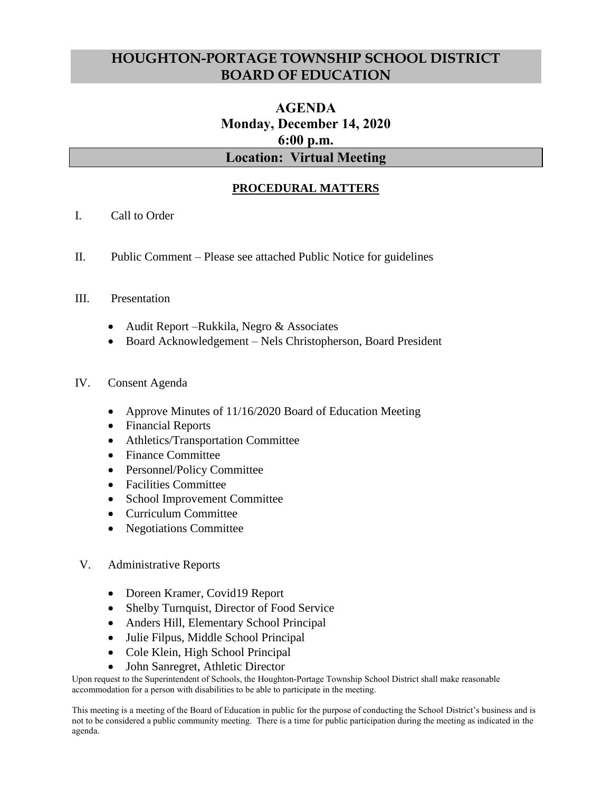## **HOUGHTON-PORTAGE TOWNSHIP SCHOOL DISTRICT BOARD OF EDUCATION**

# **AGENDA Monday, December 14, 2020 6:00 p.m. Location: Virtual Meeting**

## **PROCEDURAL MATTERS**

- I. Call to Order
- II. Public Comment Please see attached Public Notice for guidelines

#### III. Presentation

- Audit Report Rukkila, Negro & Associates
- Board Acknowledgement Nels Christopherson, Board President
- IV. Consent Agenda
	- Approve Minutes of 11/16/2020 Board of Education Meeting
	- Financial Reports
	- Athletics/Transportation Committee
	- Finance Committee
	- Personnel/Policy Committee
	- Facilities Committee
	- School Improvement Committee
	- Curriculum Committee
	- Negotiations Committee
- V. Administrative Reports
	- Doreen Kramer, Covid19 Report
	- Shelby Turnquist, Director of Food Service
	- Anders Hill, Elementary School Principal
	- Julie Filpus, Middle School Principal
	- Cole Klein, High School Principal
	- John Sanregret, Athletic Director

Upon request to the Superintendent of Schools, the Houghton-Portage Township School District shall make reasonable accommodation for a person with disabilities to be able to participate in the meeting.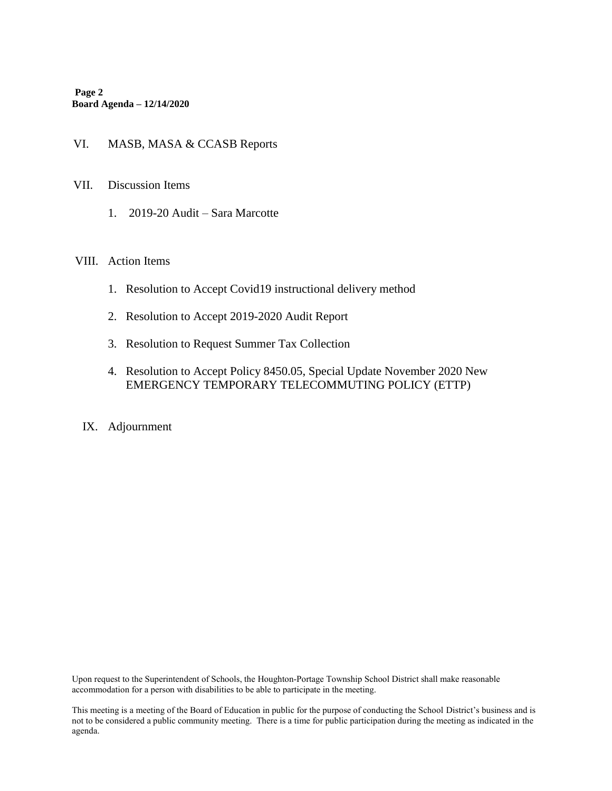**Page 2 Board Agenda – 12/14/2020**

#### VI. MASB, MASA & CCASB Reports

- VII. Discussion Items
	- 1. 2019-20 Audit Sara Marcotte

#### VIII. Action Items

- 1. Resolution to Accept Covid19 instructional delivery method
- 2. Resolution to Accept 2019-2020 Audit Report
- 3. Resolution to Request Summer Tax Collection
- 4. Resolution to Accept Policy 8450.05, Special Update November 2020 New EMERGENCY TEMPORARY TELECOMMUTING POLICY (ETTP)
- IX. Adjournment

Upon request to the Superintendent of Schools, the Houghton-Portage Township School District shall make reasonable accommodation for a person with disabilities to be able to participate in the meeting.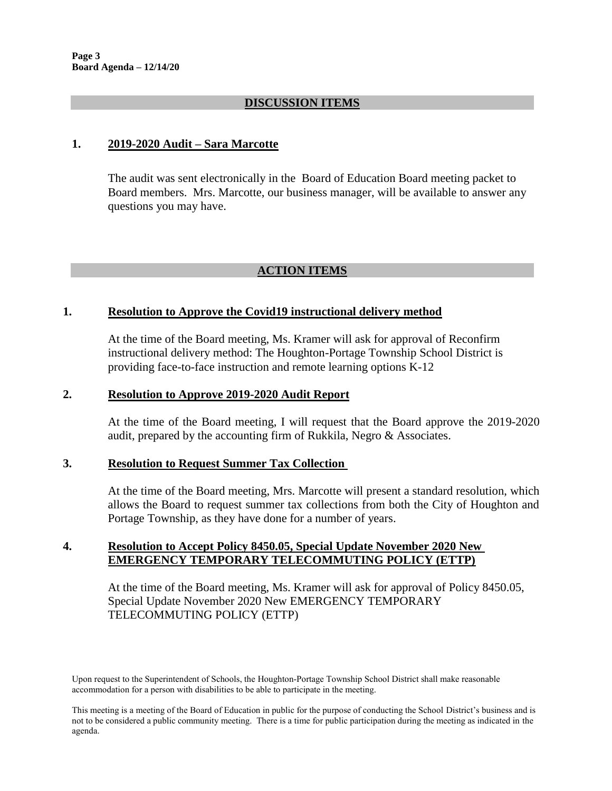#### **DISCUSSION ITEMS**

#### **1. 2019-2020 Audit – Sara Marcotte**

The audit was sent electronically in the Board of Education Board meeting packet to Board members. Mrs. Marcotte, our business manager, will be available to answer any questions you may have.

### **ACTION ITEMS**

#### **1. Resolution to Approve the Covid19 instructional delivery method**

At the time of the Board meeting, Ms. Kramer will ask for approval of Reconfirm instructional delivery method: The Houghton-Portage Township School District is providing face-to-face instruction and remote learning options K-12

#### **2. Resolution to Approve 2019-2020 Audit Report**

At the time of the Board meeting, I will request that the Board approve the 2019-2020 audit, prepared by the accounting firm of Rukkila, Negro & Associates.

#### **3. Resolution to Request Summer Tax Collection**

At the time of the Board meeting, Mrs. Marcotte will present a standard resolution, which allows the Board to request summer tax collections from both the City of Houghton and Portage Township, as they have done for a number of years.

### **4. Resolution to Accept Policy 8450.05, Special Update November 2020 New EMERGENCY TEMPORARY TELECOMMUTING POLICY (ETTP)**

At the time of the Board meeting, Ms. Kramer will ask for approval of Policy 8450.05, Special Update November 2020 New EMERGENCY TEMPORARY TELECOMMUTING POLICY (ETTP)

Upon request to the Superintendent of Schools, the Houghton-Portage Township School District shall make reasonable accommodation for a person with disabilities to be able to participate in the meeting.

This meeting is a meeting of the Board of Education in public for the purpose of conducting the School District's business and is not to be considered a public community meeting. There is a time for public participation during the meeting as indicated in the agenda.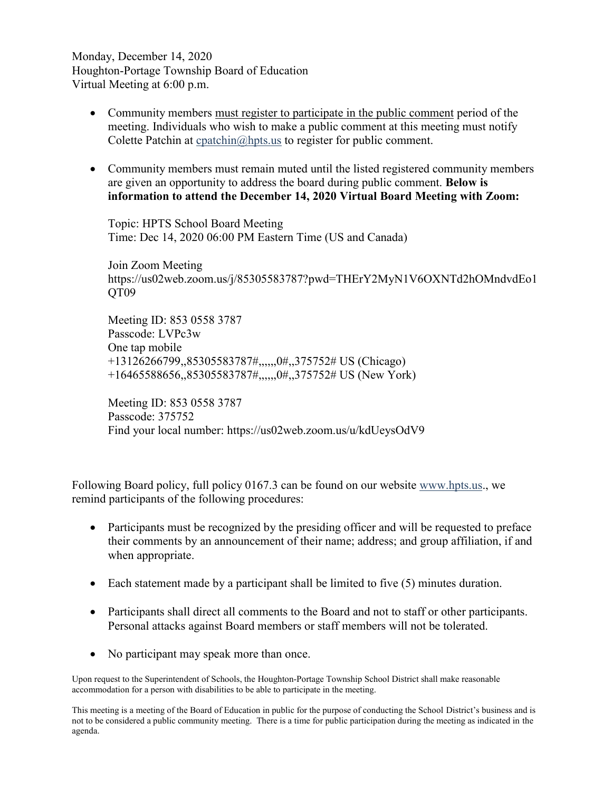Monday, December 14, 2020 Houghton-Portage Township Board of Education Virtual Meeting at 6:00 p.m.

- Community members must register to participate in the public comment period of the meeting. Individuals who wish to make a public comment at this meeting must notify Colette Patchin at [cpatchin@hpts.us](mailto:cpatchin@hpts.us) to register for public comment.
- Community members must remain muted until the listed registered community members are given an opportunity to address the board during public comment. **Below is information to attend the December 14, 2020 Virtual Board Meeting with Zoom:**

Topic: HPTS School Board Meeting Time: Dec 14, 2020 06:00 PM Eastern Time (US and Canada)

Join Zoom Meeting https://us02web.zoom.us/j/85305583787?pwd=THErY2MyN1V6OXNTd2hOMndvdEo1 OT<sub>09</sub>

Meeting ID: 853 0558 3787 Passcode: LVPc3w One tap mobile +13126266799,,85305583787#,,,,,,0#,,375752# US (Chicago) +16465588656,,85305583787#,,,,,,0#,,375752# US (New York)

Meeting ID: 853 0558 3787 Passcode: 375752 Find your local number: https://us02web.zoom.us/u/kdUeysOdV9

Following Board policy, full policy 0167.3 can be found on our website [www.hpts.us.](http://www.hpts.us/), we remind participants of the following procedures:

- Participants must be recognized by the presiding officer and will be requested to preface their comments by an announcement of their name; address; and group affiliation, if and when appropriate.
- $\bullet$  Each statement made by a participant shall be limited to five (5) minutes duration.
- Participants shall direct all comments to the Board and not to staff or other participants. Personal attacks against Board members or staff members will not be tolerated.
- No participant may speak more than once.

Upon request to the Superintendent of Schools, the Houghton-Portage Township School District shall make reasonable accommodation for a person with disabilities to be able to participate in the meeting.